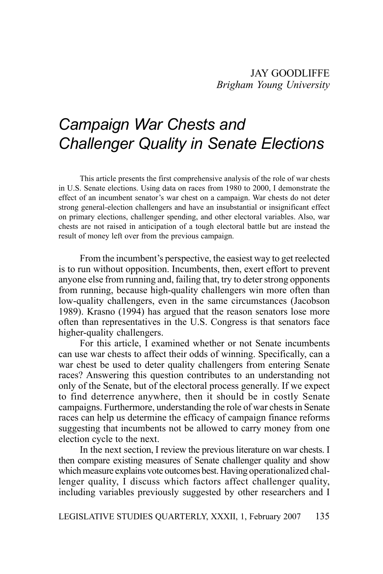# *Campaign War Chests and Challenger Quality in Senate Elections*

This article presents the first comprehensive analysis of the role of war chests in U.S. Senate elections. Using data on races from 1980 to 2000, I demonstrate the effect of an incumbent senator's war chest on a campaign. War chests do not deter strong general-election challengers and have an insubstantial or insignificant effect on primary elections, challenger spending, and other electoral variables. Also, war chests are not raised in anticipation of a tough electoral battle but are instead the result of money left over from the previous campaign.

From the incumbent's perspective, the easiest way to get reelected is to run without opposition. Incumbents, then, exert effort to prevent anyone else from running and, failing that, try to deter strong opponents from running, because high-quality challengers win more often than low-quality challengers, even in the same circumstances (Jacobson 1989). Krasno (1994) has argued that the reason senators lose more often than representatives in the U.S. Congress is that senators face higher-quality challengers.

For this article, I examined whether or not Senate incumbents can use war chests to affect their odds of winning. Specifically, can a war chest be used to deter quality challengers from entering Senate races? Answering this question contributes to an understanding not only of the Senate, but of the electoral process generally. If we expect to find deterrence anywhere, then it should be in costly Senate campaigns. Furthermore, understanding the role of war chests in Senate races can help us determine the efficacy of campaign finance reforms suggesting that incumbents not be allowed to carry money from one election cycle to the next.

In the next section, I review the previous literature on war chests. I then compare existing measures of Senate challenger quality and show which measure explains vote outcomes best. Having operationalized challenger quality, I discuss which factors affect challenger quality, including variables previously suggested by other researchers and I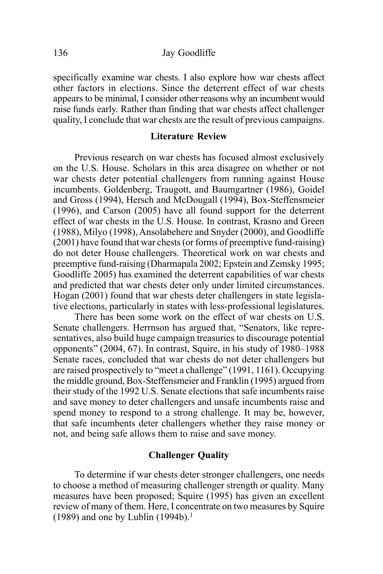#### 136 Jay Goodliffe

specifically examine war chests. I also explore how war chests affect other factors in elections. Since the deterrent effect of war chests appears to be minimal, I consider other reasons why an incumbent would raise funds early. Rather than finding that war chests affect challenger quality, I conclude that war chests are the result of previous campaigns.

#### **Literature Review**

Previous research on war chests has focused almost exclusively on the U.S. House. Scholars in this area disagree on whether or not war chests deter potential challengers from running against House incumbents. Goldenberg, Traugott, and Baumgartner (1986), Goidel and Gross (1994), Hersch and McDougall (1994), Box-Steffensmeier (1996), and Carson (2005) have all found support for the deterrent effect of war chests in the U.S. House. In contrast, Krasno and Green (1988), Milyo (1998), Ansolabehere and Snyder (2000), and Goodliffe (2001) have found that war chests (or forms of preemptive fund-raising) do not deter House challengers. Theoretical work on war chests and preemptive fund-raising (Dharmapala 2002; Epstein and Zemsky 1995; Goodliffe 2005) has examined the deterrent capabilities of war chests and predicted that war chests deter only under limited circumstances. Hogan (2001) found that war chests deter challengers in state legislative elections, particularly in states with less-professional legislatures.

There has been some work on the effect of war chests on U.S. Senate challengers. Herrnson has argued that, "Senators, like representatives, also build huge campaign treasuries to discourage potential opponents" (2004, 67). In contrast, Squire, in his study of 1980–1988 Senate races, concluded that war chests do not deter challengers but are raised prospectively to "meet a challenge" (1991, 1161). Occupying the middle ground, Box-Steffensmeier and Franklin (1995) argued from their study of the 1992 U.S. Senate elections that safe incumbents raise and save money to deter challengers and unsafe incumbents raise and spend money to respond to a strong challenge. It may be, however, that safe incumbents deter challengers whether they raise money or not, and being safe allows them to raise and save money.

#### **Challenger Quality**

To determine if war chests deter stronger challengers, one needs to choose a method of measuring challenger strength or quality. Many measures have been proposed; Squire (1995) has given an excellent review of many of them. Here, I concentrate on two measures by Squire (1989) and one by Lublin (1994b).<sup>1</sup>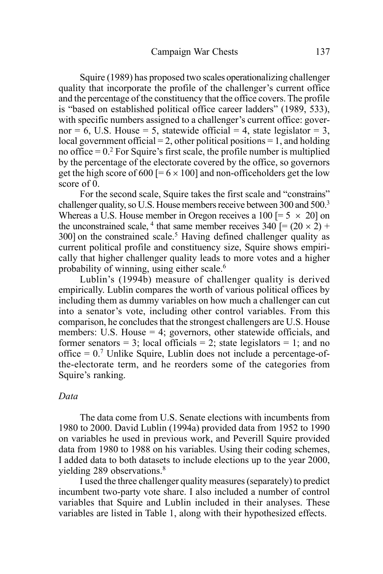Squire (1989) has proposed two scales operationalizing challenger quality that incorporate the profile of the challenger's current office and the percentage of the constituency that the office covers. The profile is "based on established political office career ladders" (1989, 533), with specific numbers assigned to a challenger's current office: governor = 6, U.S. House = 5, statewide official = 4, state legislator = 3, local government official  $= 2$ , other political positions  $= 1$ , and holding no office  $= 0.2$  For Squire's first scale, the profile number is multiplied by the percentage of the electorate covered by the office, so governors get the high score of 600 [=  $6 \times 100$ ] and non-officeholders get the low score of 0.

For the second scale, Squire takes the first scale and "constrains" challenger quality, so U.S. House members receive between 300 and 500.3 Whereas a U.S. House member in Oregon receives a 100 [=  $5 \times 20$ ] on the unconstrained scale, <sup>4</sup> that same member receives  $340$  [=  $(20 \times 2)$  + 300] on the constrained scale.<sup>5</sup> Having defined challenger quality as current political profile and constituency size, Squire shows empirically that higher challenger quality leads to more votes and a higher probability of winning, using either scale.6

Lublin's (1994b) measure of challenger quality is derived empirically. Lublin compares the worth of various political offices by including them as dummy variables on how much a challenger can cut into a senator's vote, including other control variables. From this comparison, he concludes that the strongest challengers are U.S. House members: U.S. House  $=$  4; governors, other statewide officials, and former senators = 3; local officials = 2; state legislators = 1; and no  $\text{office} = 0$ .<sup>7</sup> Unlike Squire, Lublin does not include a percentage-ofthe-electorate term, and he reorders some of the categories from Squire's ranking.

#### *Data*

The data come from U.S. Senate elections with incumbents from 1980 to 2000. David Lublin (1994a) provided data from 1952 to 1990 on variables he used in previous work, and Peverill Squire provided data from 1980 to 1988 on his variables. Using their coding schemes, I added data to both datasets to include elections up to the year 2000, yielding 289 observations.<sup>8</sup>

I used the three challenger quality measures (separately) to predict incumbent two-party vote share. I also included a number of control variables that Squire and Lublin included in their analyses. These variables are listed in Table 1, along with their hypothesized effects.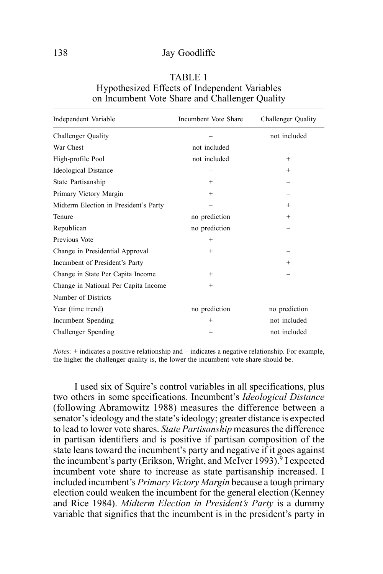#### 138 Jay Goodliffe

| TABLE 1                                        |
|------------------------------------------------|
| Hypothesized Effects of Independent Variables  |
| on Incumbent Vote Share and Challenger Quality |

| Independent Variable                  | Incumbent Vote Share | Challenger Quality |
|---------------------------------------|----------------------|--------------------|
| Challenger Quality                    |                      | not included       |
| War Chest                             | not included         |                    |
| High-profile Pool                     | not included         | $^{+}$             |
| <b>Ideological Distance</b>           |                      | $^{+}$             |
| State Partisanship                    | $^{+}$               |                    |
| Primary Victory Margin                | $^{+}$               |                    |
| Midterm Election in President's Party |                      | $^{+}$             |
| Tenure                                | no prediction        | $^{+}$             |
| Republican                            | no prediction        |                    |
| Previous Vote                         | $^{+}$               |                    |
| Change in Presidential Approval       | $^{+}$               |                    |
| Incumbent of President's Party        |                      | $^{+}$             |
| Change in State Per Capita Income     | $^{+}$               |                    |
| Change in National Per Capita Income  | $^{+}$               |                    |
| Number of Districts                   |                      |                    |
| Year (time trend)                     | no prediction        | no prediction      |
| Incumbent Spending                    | $^{+}$               | not included       |
| Challenger Spending                   |                      | not included       |

*Notes:* + indicates a positive relationship and – indicates a negative relationship. For example, the higher the challenger quality is, the lower the incumbent vote share should be.

I used six of Squire's control variables in all specifications, plus two others in some specifications. Incumbent's *Ideological Distance* (following Abramowitz 1988) measures the difference between a senator's ideology and the state's ideology; greater distance is expected to lead to lower vote shares. *State Partisanship* measures the difference in partisan identifiers and is positive if partisan composition of the state leans toward the incumbent's party and negative if it goes against the incumbent's party (Erikson, Wright, and McIver 1993).<sup>9</sup> I expected incumbent vote share to increase as state partisanship increased. I included incumbent's *Primary Victory Margin* because a tough primary election could weaken the incumbent for the general election (Kenney and Rice 1984). *Midterm Election in President's Party* is a dummy variable that signifies that the incumbent is in the president's party in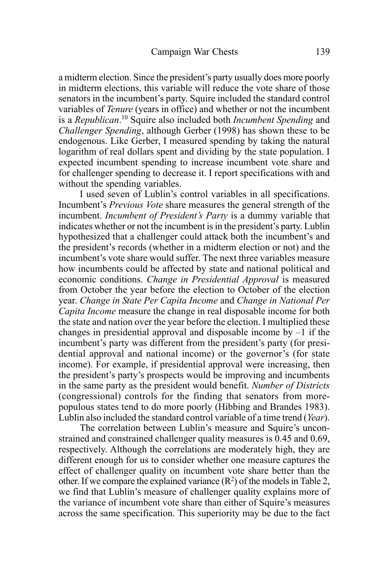a midterm election. Since the president's party usually does more poorly in midterm elections, this variable will reduce the vote share of those senators in the incumbent's party. Squire included the standard control variables of *Tenure* (years in office) and whether or not the incumbent is a *Republican*. 10 Squire also included both *Incumbent Spending* and *Challenger Spending*, although Gerber (1998) has shown these to be endogenous. Like Gerber, I measured spending by taking the natural logarithm of real dollars spent and dividing by the state population. I expected incumbent spending to increase incumbent vote share and for challenger spending to decrease it. I report specifications with and without the spending variables.

I used seven of Lublin's control variables in all specifications. Incumbent's *Previous Vote* share measures the general strength of the incumbent. *Incumbent of President's Party* is a dummy variable that indicates whether or not the incumbent is in the president's party. Lublin hypothesized that a challenger could attack both the incumbent's and the president's records (whether in a midterm election or not) and the incumbent's vote share would suffer. The next three variables measure how incumbents could be affected by state and national political and economic conditions. *Change in Presidential Approval* is measured from October the year before the election to October of the election year. *Change in State Per Capita Income* and *Change in National Per Capita Income* measure the change in real disposable income for both the state and nation over the year before the election. I multiplied these changes in presidential approval and disposable income by  $-1$  if the incumbent's party was different from the president's party (for presidential approval and national income) or the governor's (for state income). For example, if presidential approval were increasing, then the president's party's prospects would be improving and incumbents in the same party as the president would benefit. *Number of Districts* (congressional) controls for the finding that senators from morepopulous states tend to do more poorly (Hibbing and Brandes 1983). Lublin also included the standard control variable of a time trend (*Year*).

The correlation between Lublin's measure and Squire's unconstrained and constrained challenger quality measures is 0.45 and 0.69, respectively. Although the correlations are moderately high, they are different enough for us to consider whether one measure captures the effect of challenger quality on incumbent vote share better than the other. If we compare the explained variance  $(R^2)$  of the models in Table 2, we find that Lublin's measure of challenger quality explains more of the variance of incumbent vote share than either of Squire's measures across the same specification. This superiority may be due to the fact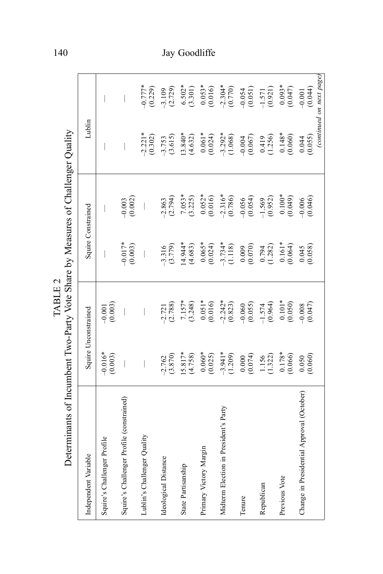| Determinants of Incumbent Two-Party Vote Share by Measures of Challenger Quality |                          | TABLE 2                  |                                                 |                          |                          |                                                   |
|----------------------------------------------------------------------------------|--------------------------|--------------------------|-------------------------------------------------|--------------------------|--------------------------|---------------------------------------------------|
| Independent Variable                                                             | Squire Unconstrained     |                          | Squire Constrained                              |                          | Lublin                   |                                                   |
| Squire's Challenger Profile                                                      | $-0.016*$<br>(0.003)     | $-0.001$<br>$(0.003)$    | $\overline{\phantom{a}}$                        |                          | I                        |                                                   |
| Squire's Challenger Profile (constrained)                                        | $\overline{\phantom{a}}$ | $\overline{\phantom{a}}$ | $-0.017*$<br>(0.003)                            | $\frac{-0.003}{(0.002)}$ | $\overline{\phantom{a}}$ | $\overline{\phantom{a}}$                          |
| Lublin's Challenger Quality                                                      |                          |                          | $\overline{\phantom{a}}$                        |                          | $-2.221*$<br>(0.302)     | $-0.777*$<br>(0.229)                              |
| Ideological Distance                                                             | (3.870)<br>$-2.762$      | $-2.721$<br>(2.788)      | $-3.316$<br>$(3.779)$                           | $-2.863$<br>$(2.794)$    | $-3.753$<br>(3.615)      | $-3.109$<br>(2.729)                               |
| State Partisanship                                                               | $15.817*$<br>(4.758)     | $7.157*$<br>(3.248)      | $14.944*$<br>(4.683)                            | $7.053*$<br>(3.225)      | $13.840*$<br>(4.632)     | $6.502*$<br>(3.301)                               |
| Primary Victory Margin                                                           | $0.060*$<br>(0.025)      | $0.051*$<br>(0.016)      | $0.065*$<br>(0.024)                             | $0.052*$<br>(0.016)      | $0.061*$<br>(0.024)      | $0.053*$<br>(0.016)                               |
| Midterm Election in President's Party                                            | $-3.941*$<br>(1.209)     | $-2.242*$<br>(0.823)     | $-3.734*$<br>(1.118)                            | $-2.316*$<br>(0.786)     | $-3.292*$<br>(1.068)     | $-2.304*$<br>(0.770)                              |
| Tenure                                                                           | (0.000)                  | $-0.060$<br>(0.055)      | (0.009)                                         | $-0.056$<br>(0.054)      | $-0.004$<br>(0.067)      | $-0.054$<br>(0.051)                               |
| Republican                                                                       | $\frac{1.156}{(1.322)}$  | $-1.574$<br>(0.964)      | $\frac{0.794}{(1.282)}$                         | $\frac{-1.569}{(0.952)}$ | (1.256)                  | $-1.571$<br>(0.921)                               |
| Previous Vote                                                                    | $0.178*$<br>(0.066)      | $0.101*$<br>(0.050)      | $0.161*$<br>(0.064)                             | $0.100*$<br>(0.049)      | $0.148*$<br>(0.060)      | $0.093*$<br>(0.047)                               |
| Change in Presidential Approval (October)                                        | $\frac{0.050}{0.060}$    | $-0.008$<br>(0.047)      | $\begin{array}{c} 0.045 \\ (0.058) \end{array}$ | $-0.006$<br>(0.046)      | (0.044)                  | (continued on next page)<br>$-0.001$<br>$(0.044)$ |

140 Jay Goodliffe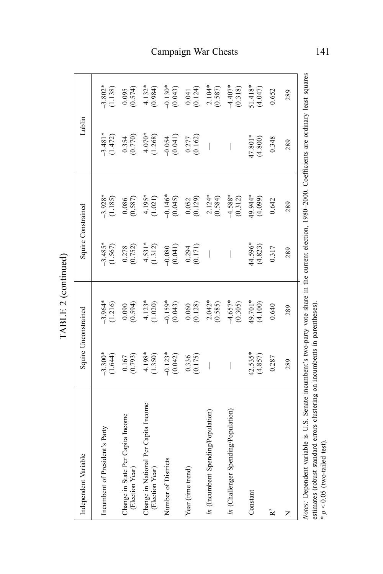| Independent Variable                                                                                                                                                                                                           | Squire Unconstrained                          |                         | Squire Constrained                              |                         | Lublin                   |                       |
|--------------------------------------------------------------------------------------------------------------------------------------------------------------------------------------------------------------------------------|-----------------------------------------------|-------------------------|-------------------------------------------------|-------------------------|--------------------------|-----------------------|
| Incumbent of President's Party                                                                                                                                                                                                 | $-3.300*$<br>(1.644)                          | $-3.964*$<br>(1.216)    | $-3.485*$<br>(1.567)                            | $-3.928*$<br>(1.185)    | $-3.481*$<br>(1.472)     | $-3.802*$<br>(1.138)  |
| Change in State Per Capita Income<br>(Election Year)                                                                                                                                                                           | $\frac{0.167}{(0.793)}$                       | (0.594)                 | $\begin{array}{c} 0.278 \\ (0.752) \end{array}$ | $\frac{0.086}{(0.587)}$ | $\frac{0.354}{0.770}$    | $\frac{0.095}{0.574}$ |
| Change in National Per Capita Income<br>(Election Year)                                                                                                                                                                        | $4.198*$<br>(1.350)                           | $4.123*$<br>(1.020)     | $4.531*$<br>(1.312)                             | $4.195*$<br>(1.021)     | $4.070*$<br>(1.268)      | $4.132*$<br>(0.984)   |
| Number of Districts                                                                                                                                                                                                            | $-0.123*$<br>(0.042)                          | $-0.159*$<br>(0.043)    | $-0.080$<br>(0.041)                             | $-0.146*$<br>(0.045)    | $-0.054$<br>$(0.041)$    | $-0.130*$<br>(0.043)  |
| Year (time trend)                                                                                                                                                                                                              | $\begin{array}{c} 0.336 \\ 0.175 \end{array}$ | $\frac{0.060}{(0.128)}$ | $\frac{0.294}{0.171}$                           | $\frac{0.052}{(0.129)}$ | $\frac{0.277}{0.162}$    | $0.041$<br>$(0.124)$  |
| In (Incumbent Spending/Population)                                                                                                                                                                                             | $\overline{\phantom{a}}$                      | $2.042*$<br>(0.585)     | $\overline{\phantom{a}}$                        | $2.124*$<br>(0.584)     | $\overline{\phantom{a}}$ | $2.104*$<br>(0.587)   |
| In (Challenger Spending/Population)                                                                                                                                                                                            | $\overline{\phantom{a}}$                      | $-4.657*$<br>(0.305)    | I                                               | $-4.588*$<br>(0.312)    | I                        | $-4.407*$<br>(0.318)  |
| Constant                                                                                                                                                                                                                       | $42.535*$<br>$(4.857)$                        | 49.701*<br>(4.100)      | 44.596*<br>(4.823)                              | 49.944*<br>(4.099)      | 47.801*<br>(4.800)       | $51.418*$<br>(4.047)  |
| $\mathbf{R}^2$                                                                                                                                                                                                                 | 0.287                                         | 0.640                   | 0.317                                           | 0.642                   | 0.348                    | 0.652                 |
| Z                                                                                                                                                                                                                              | 289                                           | 289                     | 289                                             | 289                     | 289                      | 289                   |
| Varia Dooradort variable is II C. Conci Conci is in investor in the communication of a communication of concerning in the concerning of the concerning of the concerning of the concerning of the concerning of the concerning |                                               |                         |                                                 |                         |                          |                       |

TABLE 2 (continued) TABLE 2 (continued)

Notes: Dependent variable is U.S. Senate incumbent's two-party vote share in the current election, 1980-2000. Coefficients are ordinary least squares *Notes:* Dependent variable is U.S. Senate incumbent's two-party vote share in the current election, 1980–2000. Coefficients are ordinary least squares estimates (robust standard errors clustering on incumbents in parentheses). estimates (robust standard errors clustering on incumbents in parentheses).  $* p < 0.05$  (two-tailed test).  $\dot{p}$   $> 0.05$  (two-tailed test).

## Campaign War Chests 141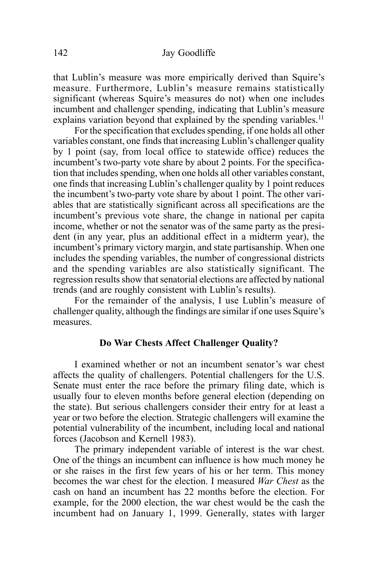that Lublin's measure was more empirically derived than Squire's measure. Furthermore, Lublin's measure remains statistically significant (whereas Squire's measures do not) when one includes incumbent and challenger spending, indicating that Lublin's measure explains variation beyond that explained by the spending variables.<sup>11</sup>

For the specification that excludes spending, if one holds all other variables constant, one finds that increasing Lublin's challenger quality by 1 point (say, from local office to statewide office) reduces the incumbent's two-party vote share by about 2 points. For the specification that includes spending, when one holds all other variables constant, one finds that increasing Lublin's challenger quality by 1 point reduces the incumbent's two-party vote share by about 1 point. The other variables that are statistically significant across all specifications are the incumbent's previous vote share, the change in national per capita income, whether or not the senator was of the same party as the president (in any year, plus an additional effect in a midterm year), the incumbent's primary victory margin, and state partisanship. When one includes the spending variables, the number of congressional districts and the spending variables are also statistically significant. The regression results show that senatorial elections are affected by national trends (and are roughly consistent with Lublin's results).

For the remainder of the analysis, I use Lublin's measure of challenger quality, although the findings are similar if one uses Squire's measures.

#### **Do War Chests Affect Challenger Quality?**

I examined whether or not an incumbent senator's war chest affects the quality of challengers. Potential challengers for the U.S. Senate must enter the race before the primary filing date, which is usually four to eleven months before general election (depending on the state). But serious challengers consider their entry for at least a year or two before the election. Strategic challengers will examine the potential vulnerability of the incumbent, including local and national forces (Jacobson and Kernell 1983).

The primary independent variable of interest is the war chest. One of the things an incumbent can influence is how much money he or she raises in the first few years of his or her term. This money becomes the war chest for the election. I measured *War Chest* as the cash on hand an incumbent has 22 months before the election. For example, for the 2000 election, the war chest would be the cash the incumbent had on January 1, 1999. Generally, states with larger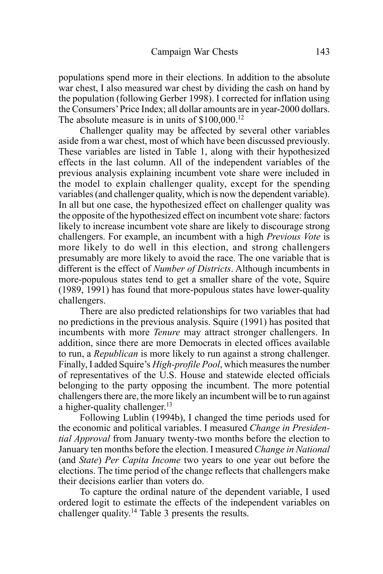populations spend more in their elections. In addition to the absolute war chest, I also measured war chest by dividing the cash on hand by the population (following Gerber 1998). I corrected for inflation using the Consumers' Price Index; all dollar amounts are in year-2000 dollars. The absolute measure is in units of \$100,000.<sup>12</sup>

Challenger quality may be affected by several other variables aside from a war chest, most of which have been discussed previously. These variables are listed in Table 1, along with their hypothesized effects in the last column. All of the independent variables of the previous analysis explaining incumbent vote share were included in the model to explain challenger quality, except for the spending variables (and challenger quality, which is now the dependent variable). In all but one case, the hypothesized effect on challenger quality was the opposite of the hypothesized effect on incumbent vote share: factors likely to increase incumbent vote share are likely to discourage strong challengers. For example, an incumbent with a high *Previous Vote* is more likely to do well in this election, and strong challengers presumably are more likely to avoid the race. The one variable that is different is the effect of *Number of Districts*. Although incumbents in more-populous states tend to get a smaller share of the vote, Squire (1989, 1991) has found that more-populous states have lower-quality challengers.

There are also predicted relationships for two variables that had no predictions in the previous analysis. Squire (1991) has posited that incumbents with more *Tenure* may attract stronger challengers. In addition, since there are more Democrats in elected offices available to run, a *Republican* is more likely to run against a strong challenger. Finally, I added Squire's *High-profile Pool*, which measures the number of representatives of the U.S. House and statewide elected officials belonging to the party opposing the incumbent. The more potential challengers there are, the more likely an incumbent will be to run against a higher-quality challenger.<sup>13</sup>

Following Lublin (1994b), I changed the time periods used for the economic and political variables. I measured *Change in Presidential Approval* from January twenty-two months before the election to January ten months before the election. I measured *Change in National* (and *State*) *Per Capita Income* two years to one year out before the elections. The time period of the change reflects that challengers make their decisions earlier than voters do.

To capture the ordinal nature of the dependent variable, I used ordered logit to estimate the effects of the independent variables on challenger quality.14 Table 3 presents the results.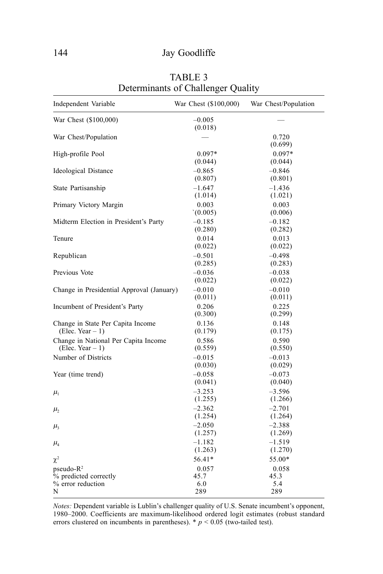| Independent Variable                                       | War Chest (\$100,000) | War Chest/Population |
|------------------------------------------------------------|-----------------------|----------------------|
| War Chest (\$100,000)                                      | $-0.005$<br>(0.018)   |                      |
| War Chest/Population                                       |                       | 0.720<br>(0.699)     |
| High-profile Pool                                          | $0.097*$<br>(0.044)   | $0.097*$<br>(0.044)  |
| Ideological Distance                                       | $-0.865$<br>(0.807)   | $-0.846$<br>(0.801)  |
| State Partisanship                                         | $-1.647$<br>(1.014)   | $-1.436$<br>(1.021)  |
| Primary Victory Margin                                     | 0.003<br>(0.005)      | 0.003<br>(0.006)     |
| Midterm Election in President's Party                      | $-0.185$<br>(0.280)   | $-0.182$<br>(0.282)  |
| Tenure                                                     | 0.014<br>(0.022)      | 0.013<br>(0.022)     |
| Republican                                                 | $-0.501$<br>(0.285)   | $-0.498$<br>(0.283)  |
| Previous Vote                                              | $-0.036$<br>(0.022)   | $-0.038$<br>(0.022)  |
| Change in Presidential Approval (January)                  | $-0.010$<br>(0.011)   | $-0.010$<br>(0.011)  |
| Incumbent of President's Party                             | 0.206<br>(0.300)      | 0.225<br>(0.299)     |
| Change in State Per Capita Income<br>(Elec. Year $-1$ )    | 0.136<br>(0.179)      | 0.148<br>(0.175)     |
| Change in National Per Capita Income<br>(Elec. Year $-1$ ) | 0.586<br>(0.559)      | 0.590<br>(0.550)     |
| Number of Districts                                        | $-0.015$<br>(0.030)   | $-0.013$<br>(0.029)  |
| Year (time trend)                                          | $-0.058$<br>(0.041)   | $-0.073$<br>(0.040)  |
| $\mu_{1}$                                                  | $-3.253$<br>(1.255)   | $-3.596$<br>(1.266)  |
| $\mu$                                                      | $-2.362$<br>(1.254)   | $-2.701$<br>(1.264)  |
| $\mu$                                                      | $-2.050$<br>(1.257)   | $-2.388$<br>(1.269)  |
| $\mu_{4}$                                                  | $-1.182$<br>(1.263)   | $-1.519$<br>(1.270)  |
| $\chi^2$                                                   | 56.41*                | 55.00*               |
| $pseudo-R2$                                                | 0.057                 | 0.058                |
| % predicted correctly                                      | 45.7                  | 45.3                 |
| % error reduction<br>N                                     | 6.0<br>289            | 5.4<br>289           |

TABLE 3 Determinants of Challenger Quality

*Notes:* Dependent variable is Lublin's challenger quality of U.S. Senate incumbent's opponent, 1980–2000. Coefficients are maximum-likelihood ordered logit estimates (robust standard errors clustered on incumbents in parentheses).  $* p < 0.05$  (two-tailed test).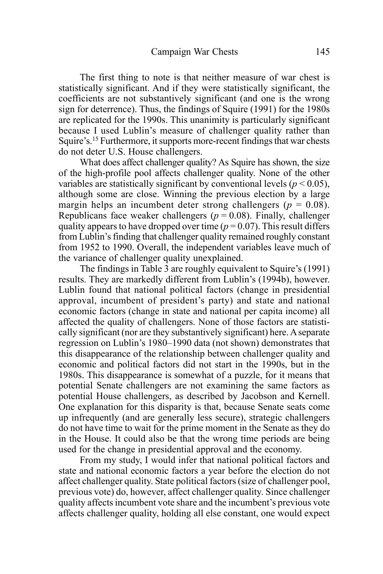The first thing to note is that neither measure of war chest is statistically significant. And if they were statistically significant, the coefficients are not substantively significant (and one is the wrong sign for deterrence). Thus, the findings of Squire (1991) for the 1980s are replicated for the 1990s. This unanimity is particularly significant because I used Lublin's measure of challenger quality rather than Squire's.15 Furthermore, it supports more-recent findings that war chests do not deter U.S. House challengers.

What does affect challenger quality? As Squire has shown, the size of the high-profile pool affects challenger quality. None of the other variables are statistically significant by conventional levels ( $p < 0.05$ ), although some are close. Winning the previous election by a large margin helps an incumbent deter strong challengers ( $p = 0.08$ ). Republicans face weaker challengers ( $p = 0.08$ ). Finally, challenger quality appears to have dropped over time ( $p = 0.07$ ). This result differs from Lublin's finding that challenger quality remained roughly constant from 1952 to 1990. Overall, the independent variables leave much of the variance of challenger quality unexplained.

The findings in Table 3 are roughly equivalent to Squire's (1991) results. They are markedly different from Lublin's (1994b), however. Lublin found that national political factors (change in presidential approval, incumbent of president's party) and state and national economic factors (change in state and national per capita income) all affected the quality of challengers. None of those factors are statistically significant (nor are they substantively significant) here. A separate regression on Lublin's 1980–1990 data (not shown) demonstrates that this disappearance of the relationship between challenger quality and economic and political factors did not start in the 1990s, but in the 1980s. This disappearance is somewhat of a puzzle, for it means that potential Senate challengers are not examining the same factors as potential House challengers, as described by Jacobson and Kernell. One explanation for this disparity is that, because Senate seats come up infrequently (and are generally less secure), strategic challengers do not have time to wait for the prime moment in the Senate as they do in the House. It could also be that the wrong time periods are being used for the change in presidential approval and the economy.

From my study, I would infer that national political factors and state and national economic factors a year before the election do not affect challenger quality. State political factors (size of challenger pool, previous vote) do, however, affect challenger quality. Since challenger quality affects incumbent vote share and the incumbent's previous vote affects challenger quality, holding all else constant, one would expect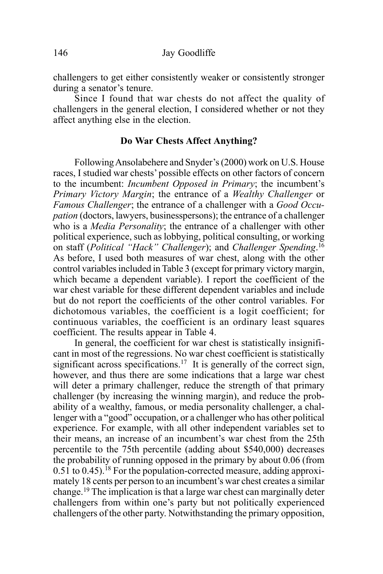challengers to get either consistently weaker or consistently stronger during a senator's tenure.

Since I found that war chests do not affect the quality of challengers in the general election, I considered whether or not they affect anything else in the election.

#### **Do War Chests Affect Anything?**

Following Ansolabehere and Snyder's (2000) work on U.S. House races, I studied war chests' possible effects on other factors of concern to the incumbent: *Incumbent Opposed in Primary*; the incumbent's *Primary Victory Margin*; the entrance of a *Wealthy Challenger* or *Famous Challenger*; the entrance of a challenger with a *Good Occupation* (doctors, lawyers, businesspersons); the entrance of a challenger who is a *Media Personality*; the entrance of a challenger with other political experience, such as lobbying, political consulting, or working on staff (*Political "Hack" Challenger*); and *Challenger Spending*. 16 As before, I used both measures of war chest, along with the other control variables included in Table 3 (except for primary victory margin, which became a dependent variable). I report the coefficient of the war chest variable for these different dependent variables and include but do not report the coefficients of the other control variables. For dichotomous variables, the coefficient is a logit coefficient; for continuous variables, the coefficient is an ordinary least squares coefficient. The results appear in Table 4.

In general, the coefficient for war chest is statistically insignificant in most of the regressions. No war chest coefficient is statistically significant across specifications.<sup>17</sup> It is generally of the correct sign, however, and thus there are some indications that a large war chest will deter a primary challenger, reduce the strength of that primary challenger (by increasing the winning margin), and reduce the probability of a wealthy, famous, or media personality challenger, a challenger with a "good" occupation, or a challenger who has other political experience. For example, with all other independent variables set to their means, an increase of an incumbent's war chest from the 25th percentile to the 75th percentile (adding about \$540,000) decreases the probability of running opposed in the primary by about 0.06 (from  $0.51$  to  $0.45$ ).<sup>18</sup> For the population-corrected measure, adding approximately 18 cents per person to an incumbent's war chest creates a similar change.19 The implication is that a large war chest can marginally deter challengers from within one's party but not politically experienced challengers of the other party. Notwithstanding the primary opposition,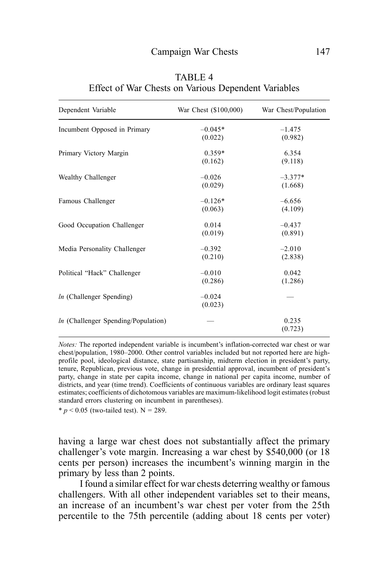| Dependent Variable                    | War Chest (\$100,000) | War Chest/Population |
|---------------------------------------|-----------------------|----------------------|
| Incumbent Opposed in Primary          | $-0.045*$<br>(0.022)  | $-1.475$<br>(0.982)  |
| Primary Victory Margin                | $0.359*$<br>(0.162)   | 6.354<br>(9.118)     |
| Wealthy Challenger                    | $-0.026$<br>(0.029)   | $-3.377*$<br>(1.668) |
| Famous Challenger                     | $-0.126*$<br>(0.063)  | $-6.656$<br>(4.109)  |
| Good Occupation Challenger            | 0.014<br>(0.019)      | $-0.437$<br>(0.891)  |
| Media Personality Challenger          | $-0.392$<br>(0.210)   | $-2.010$<br>(2.838)  |
| Political "Hack" Challenger           | $-0.010$<br>(0.286)   | 0.042<br>(1.286)     |
| $ln$ (Challenger Spending)            | $-0.024$<br>(0.023)   |                      |
| $ln$ (Challenger Spending/Population) |                       | 0.235<br>(0.723)     |

TABLE 4 Effect of War Chests on Various Dependent Variables

*Notes:* The reported independent variable is incumbent's inflation-corrected war chest or war chest/population, 1980–2000. Other control variables included but not reported here are highprofile pool, ideological distance, state partisanship, midterm election in president's party, tenure, Republican, previous vote, change in presidential approval, incumbent of president's party, change in state per capita income, change in national per capita income, number of districts, and year (time trend). Coefficients of continuous variables are ordinary least squares estimates; coefficients of dichotomous variables are maximum-likelihood logit estimates (robust standard errors clustering on incumbent in parentheses).

\*  $p < 0.05$  (two-tailed test). N = 289.

having a large war chest does not substantially affect the primary challenger's vote margin. Increasing a war chest by \$540,000 (or 18 cents per person) increases the incumbent's winning margin in the primary by less than 2 points.

I found a similar effect for war chests deterring wealthy or famous challengers. With all other independent variables set to their means, an increase of an incumbent's war chest per voter from the 25th percentile to the 75th percentile (adding about 18 cents per voter)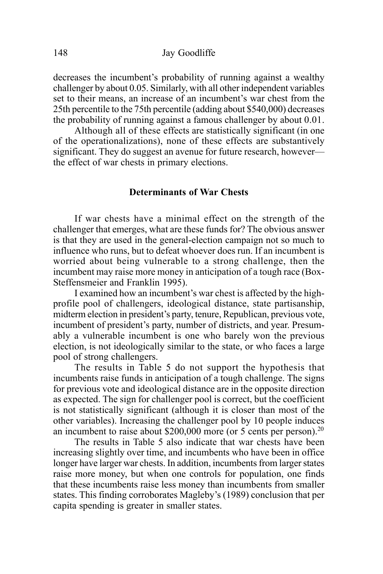decreases the incumbent's probability of running against a wealthy challenger by about 0.05. Similarly, with all other independent variables set to their means, an increase of an incumbent's war chest from the 25th percentile to the 75th percentile (adding about \$540,000) decreases the probability of running against a famous challenger by about 0.01.

Although all of these effects are statistically significant (in one of the operationalizations), none of these effects are substantively significant. They do suggest an avenue for future research, however the effect of war chests in primary elections.

### **Determinants of War Chests**

If war chests have a minimal effect on the strength of the challenger that emerges, what are these funds for? The obvious answer is that they are used in the general-election campaign not so much to influence who runs, but to defeat whoever does run. If an incumbent is worried about being vulnerable to a strong challenge, then the incumbent may raise more money in anticipation of a tough race (Box-Steffensmeier and Franklin 1995).

I examined how an incumbent's war chest is affected by the highprofile pool of challengers, ideological distance, state partisanship, midterm election in president's party, tenure, Republican, previous vote, incumbent of president's party, number of districts, and year. Presumably a vulnerable incumbent is one who barely won the previous election, is not ideologically similar to the state, or who faces a large pool of strong challengers.

The results in Table 5 do not support the hypothesis that incumbents raise funds in anticipation of a tough challenge. The signs for previous vote and ideological distance are in the opposite direction as expected. The sign for challenger pool is correct, but the coefficient is not statistically significant (although it is closer than most of the other variables). Increasing the challenger pool by 10 people induces an incumbent to raise about \$200,000 more (or 5 cents per person).20

The results in Table 5 also indicate that war chests have been increasing slightly over time, and incumbents who have been in office longer have larger war chests. In addition, incumbents from larger states raise more money, but when one controls for population, one finds that these incumbents raise less money than incumbents from smaller states. This finding corroborates Magleby's (1989) conclusion that per capita spending is greater in smaller states.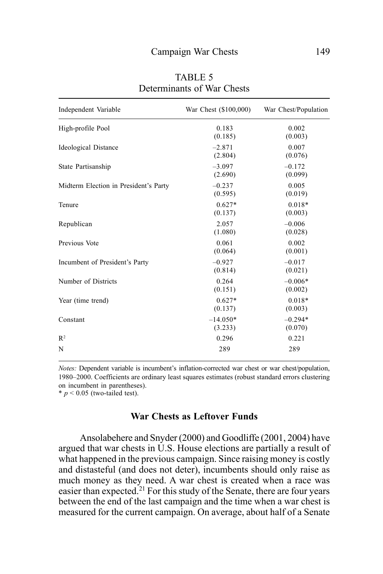| Independent Variable                  | War Chest (\$100,000) | War Chest/Population |
|---------------------------------------|-----------------------|----------------------|
| High-profile Pool                     | 0.183<br>(0.185)      | 0.002<br>(0.003)     |
| <b>Ideological Distance</b>           | $-2.871$<br>(2.804)   | 0.007<br>(0.076)     |
| State Partisanship                    | $-3.097$<br>(2.690)   | $-0.172$<br>(0.099)  |
| Midterm Election in President's Party | $-0.237$<br>(0.595)   | 0.005<br>(0.019)     |
| Tenure                                | $0.627*$<br>(0.137)   | $0.018*$<br>(0.003)  |
| Republican                            | 2.057<br>(1.080)      | $-0.006$<br>(0.028)  |
| Previous Vote                         | 0.061<br>(0.064)      | 0.002<br>(0.001)     |
| Incumbent of President's Party        | $-0.927$<br>(0.814)   | $-0.017$<br>(0.021)  |
| Number of Districts                   | 0.264<br>(0.151)      | $-0.006*$<br>(0.002) |
| Year (time trend)                     | $0.627*$<br>(0.137)   | $0.018*$<br>(0.003)  |
| Constant                              | $-14.050*$<br>(3.233) | $-0.294*$<br>(0.070) |
| $R^2$                                 | 0.296                 | 0.221                |
| N                                     | 289                   | 289                  |

TABLE 5 Determinants of War Chests

*Notes:* Dependent variable is incumbent's inflation-corrected war chest or war chest/population, 1980–2000. Coefficients are ordinary least squares estimates (robust standard errors clustering on incumbent in parentheses).

 $* p < 0.05$  (two-tailed test).

#### **War Chests as Leftover Funds**

Ansolabehere and Snyder (2000) and Goodliffe (2001, 2004) have argued that war chests in U.S. House elections are partially a result of what happened in the previous campaign. Since raising money is costly and distasteful (and does not deter), incumbents should only raise as much money as they need. A war chest is created when a race was easier than expected.<sup>21</sup> For this study of the Senate, there are four years between the end of the last campaign and the time when a war chest is measured for the current campaign. On average, about half of a Senate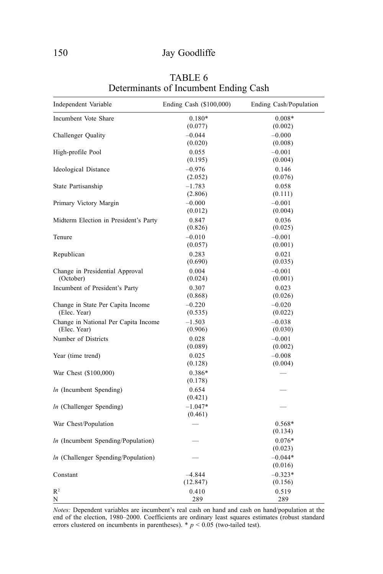#### 150 Jay Goodliffe

| Independent Variable                  | Ending Cash (\$100,000) | Ending Cash/Population |
|---------------------------------------|-------------------------|------------------------|
| Incumbent Vote Share                  | $0.180*$                | $0.008*$               |
|                                       | (0.077)                 | (0.002)                |
| Challenger Quality                    | $-0.044$                | $-0.000$               |
|                                       | (0.020)                 | (0.008)                |
| High-profile Pool                     | 0.055                   | $-0.001$               |
|                                       | (0.195)                 | (0.004)                |
| <b>Ideological Distance</b>           | $-0.976$                | 0.146                  |
|                                       | (2.052)                 | (0.076)                |
| State Partisanship                    | $-1.783$                | 0.058                  |
|                                       |                         |                        |
|                                       | (2.806)                 | (0.111)                |
| Primary Victory Margin                | $-0.000$                | $-0.001$               |
|                                       | (0.012)                 | (0.004)                |
| Midterm Election in President's Party | 0.847                   | 0.036                  |
|                                       | (0.826)                 | (0.025)                |
| Tenure                                | $-0.010$                | $-0.001$               |
|                                       | (0.057)                 | (0.001)                |
| Republican                            | 0.283                   | 0.021                  |
|                                       | (0.690)                 | (0.035)                |
|                                       |                         |                        |
| Change in Presidential Approval       | 0.004                   | $-0.001$               |
| (October)                             | (0.024)                 | (0.001)                |
| Incumbent of President's Party        | 0.307                   | 0.023                  |
|                                       | (0.868)                 | (0.026)                |
| Change in State Per Capita Income     | $-0.220$                | $-0.020$               |
| (Elec. Year)                          | (0.535)                 | (0.022)                |
| Change in National Per Capita Income  | $-1.503$                | $-0.038$               |
| (Elec. Year)                          | (0.906)                 | (0.030)                |
| Number of Districts                   | 0.028                   | $-0.001$               |
|                                       | (0.089)                 | (0.002)                |
|                                       |                         |                        |
| Year (time trend)                     | 0.025                   | $-0.008$               |
|                                       | (0.128)                 | (0.004)                |
| War Chest (\$100,000)                 | $0.386*$                |                        |
|                                       | (0.178)                 |                        |
| $ln$ (Incumbent Spending)             | 0.654                   |                        |
|                                       | (0.421)                 |                        |
| In (Challenger Spending)              | $-1.047*$               |                        |
|                                       | (0.461)                 |                        |
| War Chest/Population                  |                         | 0.568*                 |
|                                       |                         |                        |
|                                       |                         | (0.134)                |
| $ln$ (Incumbent Spending/Population)  |                         | $0.076*$               |
|                                       |                         | (0.023)                |
| In (Challenger Spending/Population)   |                         | $-0.044*$              |
|                                       |                         | (0.016)                |
| Constant                              | $-4.844$                | $-0.323*$              |
|                                       | (12.847)                | (0.156)                |
| R <sup>2</sup>                        | 0.410                   | 0.519                  |
| N                                     | 289                     | 289                    |
|                                       |                         |                        |

## TABLE 6 Determinants of Incumbent Ending Cash

*Notes:* Dependent variables are incumbent's real cash on hand and cash on hand/population at the end of the election, 1980–2000. Coefficients are ordinary least squares estimates (robust standard errors clustered on incumbents in parentheses).  $*$   $p$  < 0.05 (two-tailed test).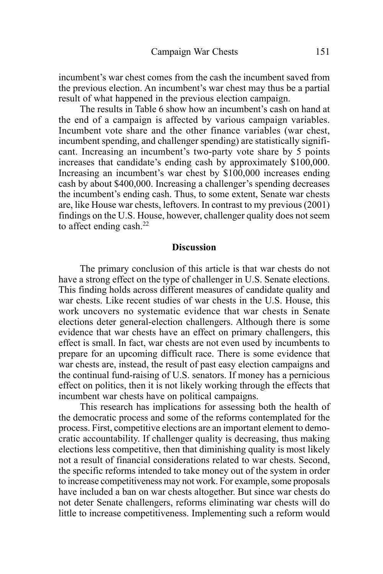incumbent's war chest comes from the cash the incumbent saved from the previous election. An incumbent's war chest may thus be a partial result of what happened in the previous election campaign.

The results in Table 6 show how an incumbent's cash on hand at the end of a campaign is affected by various campaign variables. Incumbent vote share and the other finance variables (war chest, incumbent spending, and challenger spending) are statistically significant. Increasing an incumbent's two-party vote share by 5 points increases that candidate's ending cash by approximately \$100,000. Increasing an incumbent's war chest by \$100,000 increases ending cash by about \$400,000. Increasing a challenger's spending decreases the incumbent's ending cash. Thus, to some extent, Senate war chests are, like House war chests, leftovers. In contrast to my previous (2001) findings on the U.S. House, however, challenger quality does not seem to affect ending cash. $^{22}$ 

#### **Discussion**

The primary conclusion of this article is that war chests do not have a strong effect on the type of challenger in U.S. Senate elections. This finding holds across different measures of candidate quality and war chests. Like recent studies of war chests in the U.S. House, this work uncovers no systematic evidence that war chests in Senate elections deter general-election challengers. Although there is some evidence that war chests have an effect on primary challengers, this effect is small. In fact, war chests are not even used by incumbents to prepare for an upcoming difficult race. There is some evidence that war chests are, instead, the result of past easy election campaigns and the continual fund-raising of U.S. senators. If money has a pernicious effect on politics, then it is not likely working through the effects that incumbent war chests have on political campaigns.

This research has implications for assessing both the health of the democratic process and some of the reforms contemplated for the process. First, competitive elections are an important element to democratic accountability. If challenger quality is decreasing, thus making elections less competitive, then that diminishing quality is most likely not a result of financial considerations related to war chests. Second, the specific reforms intended to take money out of the system in order to increase competitiveness may not work. For example, some proposals have included a ban on war chests altogether. But since war chests do not deter Senate challengers, reforms eliminating war chests will do little to increase competitiveness. Implementing such a reform would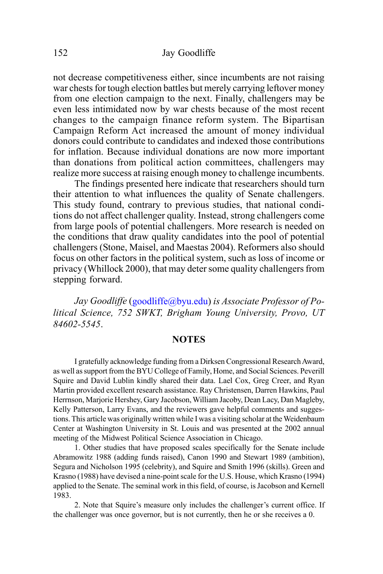not decrease competitiveness either, since incumbents are not raising war chests for tough election battles but merely carrying leftover money from one election campaign to the next. Finally, challengers may be even less intimidated now by war chests because of the most recent changes to the campaign finance reform system. The Bipartisan Campaign Reform Act increased the amount of money individual donors could contribute to candidates and indexed those contributions for inflation. Because individual donations are now more important than donations from political action committees, challengers may realize more success at raising enough money to challenge incumbents.

The findings presented here indicate that researchers should turn their attention to what influences the quality of Senate challengers. This study found, contrary to previous studies, that national conditions do not affect challenger quality. Instead, strong challengers come from large pools of potential challengers. More research is needed on the conditions that draw quality candidates into the pool of potential challengers (Stone, Maisel, and Maestas 2004). Reformers also should focus on other factors in the political system, such as loss of income or privacy (Whillock 2000), that may deter some quality challengers from stepping forward.

*Jay Goodliffe* (goodliffe@byu.edu) *is Associate Professor of Political Science, 752 SWKT, Brigham Young University, Provo, UT 84602-5545*.

#### **NOTES**

I gratefully acknowledge funding from a Dirksen Congressional Research Award, as well as support from the BYU College of Family, Home, and Social Sciences. Peverill Squire and David Lublin kindly shared their data. Lael Cox, Greg Creer, and Ryan Martin provided excellent research assistance. Ray Christensen, Darren Hawkins, Paul Herrnson, Marjorie Hershey, Gary Jacobson, William Jacoby, Dean Lacy, Dan Magleby, Kelly Patterson, Larry Evans, and the reviewers gave helpful comments and suggestions. This article was originally written while I was a visiting scholar at the Weidenbaum Center at Washington University in St. Louis and was presented at the 2002 annual meeting of the Midwest Political Science Association in Chicago.

1. Other studies that have proposed scales specifically for the Senate include Abramowitz 1988 (adding funds raised), Canon 1990 and Stewart 1989 (ambition), Segura and Nicholson 1995 (celebrity), and Squire and Smith 1996 (skills). Green and Krasno (1988) have devised a nine-point scale for the U.S. House, which Krasno (1994) applied to the Senate. The seminal work in this field, of course, is Jacobson and Kernell 1983.

2. Note that Squire's measure only includes the challenger's current office. If the challenger was once governor, but is not currently, then he or she receives a 0.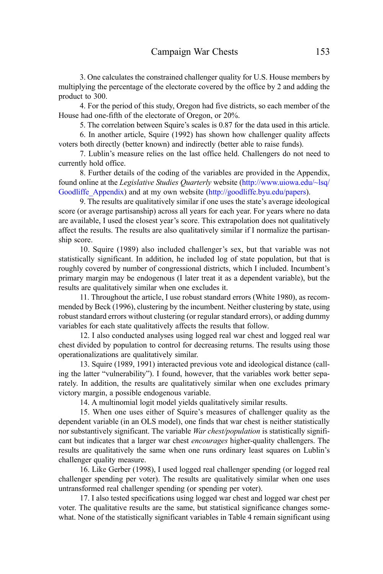3. One calculates the constrained challenger quality for U.S. House members by multiplying the percentage of the electorate covered by the office by 2 and adding the product to 300.

4. For the period of this study, Oregon had five districts, so each member of the House had one-fifth of the electorate of Oregon, or 20%.

5. The correlation between Squire's scales is 0.87 for the data used in this article.

6. In another article, Squire (1992) has shown how challenger quality affects voters both directly (better known) and indirectly (better able to raise funds).

7. Lublin's measure relies on the last office held. Challengers do not need to currently hold office.

8. Further details of the coding of the variables are provided in the Appendix, found online at the *Legislative Studies Quarterly* website (http://www.uiowa.edu/~lsq/ Goodliffe Appendix) and at my own website (http://goodliffe.byu.edu/papers).

9. The results are qualitatively similar if one uses the state's average ideological score (or average partisanship) across all years for each year. For years where no data are available, I used the closest year's score. This extrapolation does not qualitatively affect the results. The results are also qualitatively similar if I normalize the partisanship score.

10. Squire (1989) also included challenger's sex, but that variable was not statistically significant. In addition, he included log of state population, but that is roughly covered by number of congressional districts, which I included. Incumbent's primary margin may be endogenous (I later treat it as a dependent variable), but the results are qualitatively similar when one excludes it.

11. Throughout the article, I use robust standard errors (White 1980), as recommended by Beck (1996), clustering by the incumbent. Neither clustering by state, using robust standard errors without clustering (or regular standard errors), or adding dummy variables for each state qualitatively affects the results that follow.

12. I also conducted analyses using logged real war chest and logged real war chest divided by population to control for decreasing returns. The results using those operationalizations are qualitatively similar.

13. Squire (1989, 1991) interacted previous vote and ideological distance (calling the latter "vulnerability"). I found, however, that the variables work better separately. In addition, the results are qualitatively similar when one excludes primary victory margin, a possible endogenous variable.

14. A multinomial logit model yields qualitatively similar results.

15. When one uses either of Squire's measures of challenger quality as the dependent variable (in an OLS model), one finds that war chest is neither statistically nor substantively significant. The variable *War chest/population* is statistically significant but indicates that a larger war chest *encourages* higher-quality challengers. The results are qualitatively the same when one runs ordinary least squares on Lublin's challenger quality measure.

16. Like Gerber (1998), I used logged real challenger spending (or logged real challenger spending per voter). The results are qualitatively similar when one uses untransformed real challenger spending (or spending per voter).

17. I also tested specifications using logged war chest and logged war chest per voter. The qualitative results are the same, but statistical significance changes somewhat. None of the statistically significant variables in Table 4 remain significant using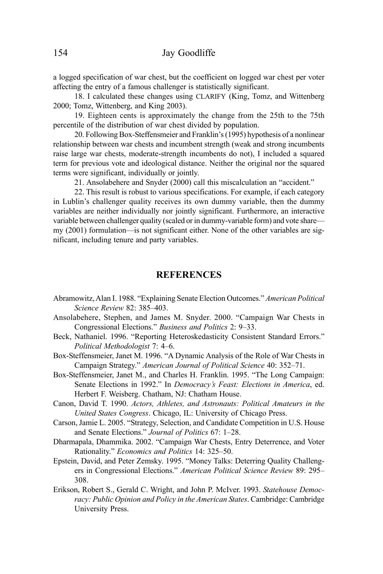a logged specification of war chest, but the coefficient on logged war chest per voter affecting the entry of a famous challenger is statistically significant.

18. I calculated these changes using CLARIFY (King, Tomz, and Wittenberg 2000; Tomz, Wittenberg, and King 2003).

19. Eighteen cents is approximately the change from the 25th to the 75th percentile of the distribution of war chest divided by population.

20. Following Box-Steffensmeier and Franklin's (1995) hypothesis of a nonlinear relationship between war chests and incumbent strength (weak and strong incumbents raise large war chests, moderate-strength incumbents do not), I included a squared term for previous vote and ideological distance. Neither the original nor the squared terms were significant, individually or jointly.

21. Ansolabehere and Snyder (2000) call this miscalculation an "accident."

22. This result is robust to various specifications. For example, if each category in Lublin's challenger quality receives its own dummy variable, then the dummy variables are neither individually nor jointly significant. Furthermore, an interactive variable between challenger quality (scaled or in dummy-variable form) and vote share my (2001) formulation—is not significant either. None of the other variables are significant, including tenure and party variables.

#### **REFERENCES**

- Abramowitz, Alan I. 1988. "Explaining Senate Election Outcomes." *American Political Science Review* 82: 385–403.
- Ansolabehere, Stephen, and James M. Snyder. 2000. "Campaign War Chests in Congressional Elections." *Business and Politics* 2: 9–33.
- Beck, Nathaniel. 1996. "Reporting Heteroskedasticity Consistent Standard Errors." *Political Methodologist* 7: 4–6.
- Box-Steffensmeier, Janet M. 1996. "A Dynamic Analysis of the Role of War Chests in Campaign Strategy." *American Journal of Political Science* 40: 352–71.
- Box-Steffensmeier, Janet M., and Charles H. Franklin. 1995. "The Long Campaign: Senate Elections in 1992." In *Democracy's Feast: Elections in America*, ed. Herbert F. Weisberg. Chatham, NJ: Chatham House.
- Canon, David T. 1990. *Actors, Athletes, and Astronauts: Political Amateurs in the United States Congress*. Chicago, IL: University of Chicago Press.
- Carson, Jamie L. 2005. "Strategy, Selection, and Candidate Competition in U.S. House and Senate Elections." *Journal of Politics* 67: 1–28.
- Dharmapala, Dhammika. 2002. "Campaign War Chests, Entry Deterrence, and Voter Rationality." *Economics and Politics* 14: 325–50.
- Epstein, David, and Peter Zemsky. 1995. "Money Talks: Deterring Quality Challengers in Congressional Elections." *American Political Science Review* 89: 295– 308.
- Erikson, Robert S., Gerald C. Wright, and John P. McIver. 1993. *Statehouse Democracy: Public Opinion and Policy in the American States*. Cambridge: Cambridge University Press.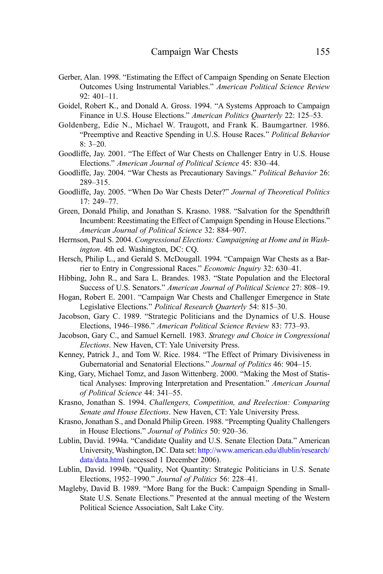- Gerber, Alan. 1998. "Estimating the Effect of Campaign Spending on Senate Election Outcomes Using Instrumental Variables." *American Political Science Review* 92: 401–11.
- Goidel, Robert K., and Donald A. Gross. 1994. "A Systems Approach to Campaign Finance in U.S. House Elections." *American Politics Quarterly* 22: 125–53.
- Goldenberg, Edie N., Michael W. Traugott, and Frank K. Baumgartner. 1986. "Preemptive and Reactive Spending in U.S. House Races." *Political Behavior* 8: 3–20.
- Goodliffe, Jay. 2001. "The Effect of War Chests on Challenger Entry in U.S. House Elections." *American Journal of Political Science* 45: 830–44.
- Goodliffe, Jay. 2004. "War Chests as Precautionary Savings." *Political Behavior* 26: 289–315.
- Goodliffe, Jay. 2005. "When Do War Chests Deter?" *Journal of Theoretical Politics* 17: 249–77.
- Green, Donald Philip, and Jonathan S. Krasno. 1988. "Salvation for the Spendthrift Incumbent: Reestimating the Effect of Campaign Spending in House Elections." *American Journal of Political Science* 32: 884–907.
- Herrnson, Paul S. 2004. *Congressional Elections: Campaigning at Home and in Washington*. 4th ed. Washington, DC: CQ.
- Hersch, Philip L., and Gerald S. McDougall. 1994. "Campaign War Chests as a Barrier to Entry in Congressional Races." *Economic Inquiry* 32: 630–41.
- Hibbing, John R., and Sara L. Brandes. 1983. "State Population and the Electoral Success of U.S. Senators." *American Journal of Political Science* 27: 808–19.
- Hogan, Robert E. 2001. "Campaign War Chests and Challenger Emergence in State Legislative Elections." *Political Research Quarterly* 54: 815–30.
- Jacobson, Gary C. 1989. "Strategic Politicians and the Dynamics of U.S. House Elections, 1946–1986." *American Political Science Review* 83: 773–93.
- Jacobson, Gary C., and Samuel Kernell. 1983. *Strategy and Choice in Congressional Elections*. New Haven, CT: Yale University Press.
- Kenney, Patrick J., and Tom W. Rice. 1984. "The Effect of Primary Divisiveness in Gubernatorial and Senatorial Elections." *Journal of Politics* 46: 904–15.
- King, Gary, Michael Tomz, and Jason Wittenberg. 2000. "Making the Most of Statistical Analyses: Improving Interpretation and Presentation." *American Journal of Political Science* 44: 341–55.
- Krasno, Jonathan S. 1994. *Challengers, Competition, and Reelection: Comparing Senate and House Elections*. New Haven, CT: Yale University Press.
- Krasno, Jonathan S., and Donald Philip Green. 1988. "Preempting Quality Challengers in House Elections." *Journal of Politics* 50: 920–36.
- Lublin, David. 1994a. "Candidate Quality and U.S. Senate Election Data." American University, Washington, DC. Data set: http://www.american.edu/dlublin/research/ data/data.html (accessed 1 December 2006).
- Lublin, David. 1994b. "Quality, Not Quantity: Strategic Politicians in U.S. Senate Elections, 1952–1990." *Journal of Politics* 56: 228–41.
- Magleby, David B. 1989. "More Bang for the Buck: Campaign Spending in Small-State U.S. Senate Elections." Presented at the annual meeting of the Western Political Science Association, Salt Lake City.